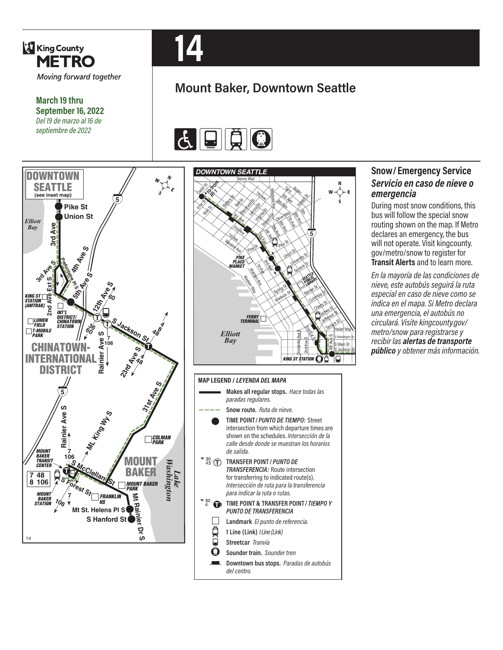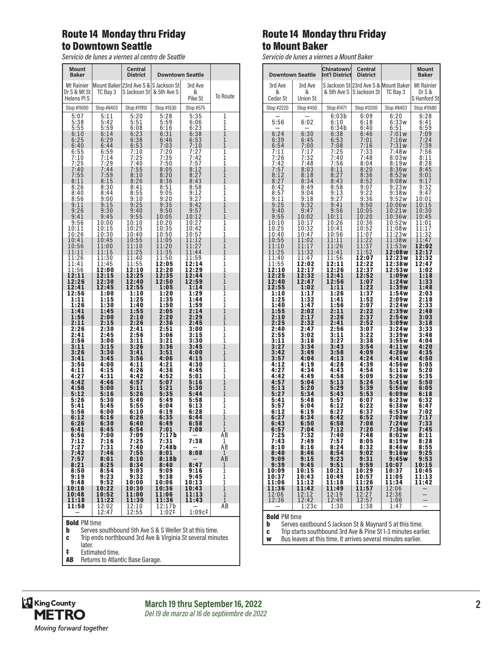#### Route 14 Monday thru Friday to Downtown Seattle

*Servicio de lunes a viernes al centro de Seattle*

| <b>Mount</b><br><b>Baker</b> |                  | Central<br><b>District</b>            | <b>Downtown Seattle</b> |                  |                     |
|------------------------------|------------------|---------------------------------------|-------------------------|------------------|---------------------|
| Mt Rainier                   |                  | Mount Baker 23rd Ave S & S Jackson St |                         | 3rd Ave          |                     |
| Dr S & Mt St<br>Helens PIS   | TC Bay 3         | S Jackson St & 5th Ave S              |                         | &<br>Pike St     | To Route            |
| Stop #11690                  | Stop #8403       | Stop #11910                           | Stop #1530              | Stop #575        |                     |
| 5:07                         | 5:11             | 5:20                                  | 5:28                    | 5:35             | 1                   |
| 5:38                         | 5:42             | 5:51                                  | 5:59                    | 6:06             | 1                   |
| 5:55                         | 5:59             | 6:08                                  | 6:16                    | 6:23             | $\mathbf 1$         |
| 6:10                         | 6:14             | 6:23                                  | 6:31                    | 6:38             | $\mathbf{1}$        |
| 6:25                         | 6:29             | 6:38                                  | 6:46                    |                  | $\mathbf{1}$        |
| 6:40                         | 6:44             | 6:53                                  | 7:03                    | $6:53$<br>$7:10$ | $\overline{1}$      |
| $6:55$<br>$7:10$             | 6:59             | 7:10                                  | 7:20                    | 7:27             | ī                   |
|                              | 7:14             | 7:25                                  | 7:35                    | 7:42             | $\mathbf 1$         |
| 7:25                         | 7:29             | 7:40                                  | 7:50                    | 7:57             | $\bar{1}$           |
| $7:40$<br>$7:55$             | 7:44             | 7:55                                  | 8:05                    | 8:12             | $\mathbf{1}$        |
|                              | 7:59             | 8:10                                  | 8:20                    | 8:27             | $\overline{1}$      |
| 8:11                         | 8:15             | 8:26                                  | 8:36                    | 8:43             | $\overline{1}$      |
| 8:26                         | 8:30             | 8:41                                  | 8:51                    | 8:58             | $\overline{1}$      |
| 8:40                         | 8:44             | 8:55                                  | 9:05                    | 9:12             | ī                   |
| 8:56                         | 9:00             | 9:10                                  | $\frac{9:20}{9:35}$     | 9:27             | 1                   |
| 9:11                         | 9:15             | 9:25                                  |                         | 9:42             | $\overline{1}$      |
| 9:26                         | 9:30             | 9:40                                  | 9:50                    | 9:57             | î<br>ī              |
| 9:41                         | 9:45             | 9:55                                  | 10:05                   | 10:12            | $\overline{1}$      |
| 9:56                         | 10:00            | 10:10                                 | 10:20                   | 10:27            |                     |
| 10:11                        | 10:15            | 10:25                                 | 10:35                   | 10:42            | $\mathbf{1}$        |
| 10:26                        | 10:30            | 10:40                                 | 10:50                   | 10:57            | 1                   |
| 10:41                        | 10:45            | 10:55                                 | 11:05                   | 11:12            | $\mathbf{1}$        |
| 10:56                        | 11:00            | 11:10                                 | 11:20                   | 11:27            | $\overline{1}$      |
| 11:11                        | 11:15            | 11:25                                 | 11:35                   | 11:44            | ī                   |
| 11:26                        | 11:30            | 11:40                                 | 11:50                   | 11:59            | $\overline{1}$      |
| 11:41                        | 11:45            | 11:55                                 | 12:05                   | 12:14            | 1                   |
| 11:56                        | 12:00            | 12:10                                 | 12:20                   | 12:29            | ī                   |
| 12:11                        | 12:15            | 12:25                                 | 12:35                   | 12:44            | $\mathbf{1}$        |
| 12:26                        | 12:30            | 12:40                                 | 12:50                   | 12:59            | $\mathbf{1}$        |
| 12:41                        | 12:45            | 12:55                                 | 1:05                    | 1:14             | $\overline{1}$      |
| 12:56                        | 1:00             | 1:10                                  | 1:20                    | 1:29             | 1                   |
| 1:11                         | 1:15             | 1:25                                  | 1:35                    | 1:44             | ī                   |
| 1:26                         | 1:30             | 1:40                                  | 1:50                    | 1:59             | ī<br>$\mathbf{1}$   |
| 1:41                         | 1:45             | 1:55                                  | 2:05                    | 2:14             | $\mathbf{1}$        |
| 1:56                         | 2:00             | 2:10                                  | 2:20                    | 2:29             |                     |
| 2:11                         | 2:15             | 2:26                                  | 2:36                    | 2:45             | $\overline{1}$      |
| 2:26                         | 2:30             | 2:41                                  | 2:51                    | 3:00             | ī                   |
| 2:41                         | 2:45             | 2:56                                  | 3:06                    | 3:15             | $\mathbf{1}$        |
| 2:56                         | 3:00             | 3:11                                  | 3:21                    | 3:30             | $\overline{1}$      |
| 3:11                         | 3:15             | 3:26                                  | 3:36                    | 3:45             | $\mathbf{1}$        |
| 3:26                         | 3:30             | 3:41                                  | 3:51                    | 4:00             | $\overline{1}$      |
| 3:41                         | 3:45             | 3:56                                  | 4:06                    | 4:15             | $\overline{1}$      |
| 3:56                         | 4:00             | 4:11                                  | 4:21                    | 4:30             | $\overline{1}$      |
| 4:11                         | 4:15             | 4:26                                  | 4:36                    | 4:45             | ī                   |
| 4:27                         | 4:31             | 4:42                                  | 4:52                    | 5:01             | $\overline{1}$      |
| 4:42                         | 4:46             | 4:57                                  | 5:07                    | 5:16             | $\overline{1}$      |
| 4:56                         | 5:00             | 5:11                                  | 5:21                    | 5:30             | $\overline{1}$      |
| 5:12                         | 5:16             | 5:26                                  | 5:35                    | 5:44             | $\mathbf{1}$        |
| 5:26                         | 5:30             | 5:40                                  | 5:49                    | 5:58             | $\overline{1}$      |
| 5:41                         | 5:45             | 5:55                                  | 6:04                    | 6:13             |                     |
| 5:56                         | 6:00             | 6:10                                  | 6:19                    | 6:28             | $\frac{1}{1}$       |
| 6:12                         | 6:16             | 6:26                                  | 6:35                    | 6:44             | $1\,$               |
| 6:26                         | 6:30             | 6:40                                  | 6:49                    | 6:58             | $\mathbf{1}$        |
| 6:41                         | 6:45             | 6:54                                  | 7:01                    | 7:08             | $\overline{1}$      |
| 6:56                         | 7:00             | 7:09                                  | 7:17b                   |                  | AB                  |
| 7:12                         | 7:16             | 7:25                                  | 7:31                    | 7:38             | 1                   |
| 7:27                         | 7:31             | 7:40                                  | 7:48b                   | 8:08             | ĀВ                  |
| 7:42                         | 7:46             | 7:55                                  | 8:01                    |                  | $\mathbf{1}$        |
| 7:57                         | 8:01             | 8:10<br>8:34                          | 8:18b<br>8:40           | 8:47             | AB                  |
| 8:21<br>8:50                 | 8:25<br>8:54     | 9:03                                  | 9:09                    | 9:16             | 1<br>$\overline{1}$ |
| 9:19                         | $9:23$<br>$9:52$ | 9:32                                  | 9:38                    | 9:45             | ī                   |
| 9:48                         |                  | 10:00                                 | 10:06                   | 10:13            | $\mathbf{1}$        |
| 10:18                        | 10:22            | 10:30                                 | 10:36                   | 10:43            | ī                   |
| 10:48                        | 10:52            | 11:00                                 | 11:06                   | 11:13            | $\overline{1}$      |
| 11:18                        | 11:22            | 11:30                                 | 11:36                   | 11:43            | $\mathbf 1$         |
| 11:58                        | 12:02<br>12:47   | 12:10<br>12:55                        | 12:17b<br>1:02‡         | 1:09c#           | AΒ                  |
|                              |                  |                                       |                         |                  |                     |

# **Bold PM time**<br>**b** Serves so

**b** Serves southbound 5th Ave S & S Weller St at this time.<br> **c** Trip ends northbound 3rd Ave & Virginia St several minu

- Trip ends northbound 3rd Ave & Virginia St several minutes
- later. ‡ Estimated time.
- AB Returns to Atlantic Base Garage.

## Route 14 Monday thru Friday to Mount Baker

*Servicio de lunes a viernes a Mount Baker*

|                       | <b>Downtown Seattle</b>   | <b>Chinatown/</b><br>Int'l District | Central<br><b>District</b> |                                       | <b>Mount</b><br><b>Baker</b> |
|-----------------------|---------------------------|-------------------------------------|----------------------------|---------------------------------------|------------------------------|
| 3rd Ave               | 3rd Ave                   |                                     |                            | S Jackson St 23rd Ave S & Mount Baker | Mt Rainier                   |
| &                     | &                         | & 5th Ave S                         | S Jackson St               | TC Bay 3                              | DrS &                        |
| Cedar St              | <b>Union St</b>           |                                     |                            |                                       | S Hanford St                 |
| Stop #2220            | Stop #450                 | Stop #1471                          | Stop #12010                | Stop #8403                            | Stop #11680                  |
|                       |                           | 6:03b                               | 6:09                       | 6:20                                  | 6:28                         |
| 5:56                  | 6:02                      | 6:10<br>6:34b                       | 6:18<br>6:40               | 6:33w<br>6:51                         | 6:41<br>6:59                 |
| 6:24                  | 6:30                      | 6:38                                | 6:46                       | 7:01w                                 | 7:09                         |
| 6:39                  | 6:45                      | 6:53                                | 7:01                       | 7:16w                                 | 7:24                         |
| 6:54<br>7:11          | 7:00<br>7:17              | 7:08<br>7:25                        | 7:16<br>7:33               | 7:31w<br>7:48w                        | 7:39<br>7:56                 |
| 7:26                  | 7:32                      | 7:40                                | 7:48                       | 8:03w                                 | 8:11                         |
| 7:42                  | 7:48                      | 7:56                                | 8:04                       | 8:19w                                 | 8:28                         |
| 7:57<br>8:12          | 8:03<br>8:18              | 8:11<br>8:27                        | 8:20<br>8:36               | 8:36w<br>8:52w                        | 8:45<br>9:01                 |
| 8:27                  | 8:34                      | 8:43                                | 8:52                       | 9:08w                                 | 9:17                         |
| 8:42                  | 8:49                      | 8:58                                | 9:07                       | 9:23w                                 | 9:32                         |
| $\frac{8:57}{9:11}$   | 9:04<br>9:18              | 9:13<br>9:27                        | $9:22$<br>$9:36$           | 9:38w                                 | 9:47<br>10:01                |
| 9:25                  | 9:32                      | 9:41                                | 9:50                       | 9:52w<br>10:06w                       | 10:15                        |
| 9:40                  | 9:47                      | 9:56                                | 10:05                      | 10:21w                                | 10:30                        |
| 9:55<br>10:10         | 10:02                     | 10:11                               | 10:20                      | 10:36w                                | 10:45                        |
| 10:25                 | 10:17<br>10:32            | 10:26<br>10:41                      | 10:36<br>10:52             | 10:52w<br>11:08w                      | 11:01<br>11:17               |
| 10:40                 | 10:47                     | 10:56                               | 11:07                      | 11:23w                                | 11:32                        |
| 10:55                 | 11:02                     | 11:11                               | 11:22                      | 11:38w                                | 11:47                        |
| 11:10<br>11:25        | 11:17<br>11:32            | 11:26<br>11:41                      | 11:37<br>11:52             | 11:53w<br>12:08w                      | 12:02<br>12:17               |
| 11:40                 | 11:47                     | 11:56                               | 12:07                      | 12:23w                                | 12:32                        |
| 11:55                 | 12:02                     | 12:11                               | 12:22                      | 12:38w                                | 12:47                        |
| 12:10<br>12:25        | 12:17<br>12:32            | 12:26<br>12:41                      | 12:37<br>12:52             | 12:53w<br>1:09w                       | 1:02<br>1:18                 |
| 12:40                 | 12:47                     | 12:56                               | 1:07                       | 1:24w                                 | 1:33                         |
| 12:55<br>1:10         | 1:02                      | 1:11                                | 1:22<br>1:37               | 1:39w                                 | 1:48                         |
| 1:25                  | 1:17<br>1:32              | 1:26<br>1:41                        | 1:52                       | 1:54w<br>2:09w                        | 2:03<br>2:18                 |
| 1:40                  | 1:47                      | 1:56                                | 2:07                       | 2:24w                                 | 2:33                         |
| 1:55<br>2:10          | 2:02<br>2:17              | 2:11<br>2:26                        | 2:22<br>2:37               | 2:39w<br>2:54w                        | 2:48<br>3:03                 |
| 2:25                  | 2:32                      | 2:41                                | 2:52                       | 3:09w                                 | 3:18                         |
| 2:40                  | 2:47                      | 2:56                                | 3:07                       | 3:24w                                 | 3:33                         |
| 2:55<br>3:11          | 3:02<br>3:18              | 3:11<br>3:27                        | 3:22<br>3:38               | 3:39w<br>3:55w                        | 3:48<br>4:04                 |
| 3:27                  | 3:34                      | 3:43                                | 3:54                       | 4:11w                                 | 4:20                         |
| 3:42<br>3:57          | 3:49<br>4:04              | 3:58<br>4:13                        | 4:09<br>4:24               | 4:26w<br>4:41w                        | 4:35<br>4:50                 |
| 4:12                  | 4:19                      | 4:28                                | 4:39                       | 4:56w                                 | 5:05                         |
| 4:27                  | 4:34                      | 4:43                                | 4:54                       | 5:11w                                 | 5:20                         |
| 4:42<br>4:57          | 4:49<br>5:04              | 4:58<br>5:13                        | 5:09<br>5:24               | 5:26w                                 | 5:35                         |
| 5:13                  | 5:20                      | 5:29                                | 5:39                       | 5:41w<br>5:56w                        | 5:50<br>6:05                 |
| 5:27                  | 5:34                      | 5:43                                | 5:53                       | 6:09w                                 | 6:18                         |
| 5:41<br>5:57          | 5:48<br>6:04              | 5:57<br>6:12                        | 6:07<br>6:22               | 6:23w<br>6:38w                        | 6:32<br>6:47                 |
| 6:12                  | 6:19                      | 6:27                                | 6:37                       | 6:53w                                 | 7:02                         |
| 6:27                  | 6:34                      | 6:42                                | 6:52                       | 7:08w                                 | 7:17                         |
| 6:43                  | 6:50                      | 6:58<br>7:12                        | 7:08                       | 7:24w<br>7:36w                        | 7:33                         |
| 6:57<br>7:25          | 7:04<br>7:32              | 7:40                                | 7:20<br>7:48               | 8:02w                                 | 7:45<br>8:11                 |
| 7:43                  | 7:49                      | 7:57                                | 8:05                       | 8:19w                                 | 8:28                         |
| 8:10<br>8:40          | 8:16<br>8:46              | 8:24<br>8:54                        | 8:32<br>9:02               | 8:46w<br>9:16w                        | 8:55<br>9:25                 |
| 9:09                  | 9:15                      | 9:23                                | 9:31                       | 9:45w                                 | 9:53                         |
| 9:39                  | 9:45                      | 9:51                                | 9:59                       | 10:07                                 | 10:15                        |
| 10:09<br>10:37        | 10:15<br>10:43            | 10:21<br>10:49                      | 10:29<br>10:57             | 10:37<br>11:05                        | 10:45<br>11:13               |
| 11:06                 | 11:12                     | 11:18                               | 11:26                      | 11:34                                 | 11:42                        |
| 11:36                 | 11:42                     | 11:49                               | 11:57                      | 12:06<br>12:36                        |                              |
| $\frac{12:06}{12:36}$ | $\frac{1}{2:12}$<br>12:42 | $\frac{1}{2:19}$<br>12:49           | $\frac{12:27}{12:57}$      | 1:06                                  | $\frac{1}{1}$                |
|                       | 1:23c                     | 1:30                                | 1:38                       | 1:47                                  |                              |

**Bold** PM time<br>**b** Serves ea

**b** Serves eastbound S Jackson St & Maynard S at this time.<br>**c** Trip starts southbound 3rd Ave & Pine St 1-3 minutes earli

**c** Trip starts southbound 3rd Ave & Pine St 1-3 minutes earlier.<br>**w** Bus leaves at this time. It arrives several minutes earlier.

Bus leaves at this time. It arrives several minutes earlier.

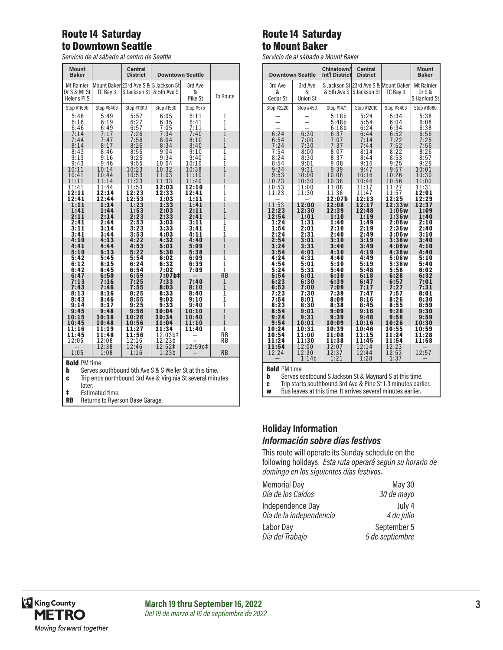### Route 14 Saturday to Downtown Seattle

*Servicio de al sábado al centro de Seattle*

| <b>Mount</b><br><b>Baker</b>             |                         | <b>Central</b><br><b>District</b>                                  | <b>Downtown Seattle</b>    |                         |                                             |
|------------------------------------------|-------------------------|--------------------------------------------------------------------|----------------------------|-------------------------|---------------------------------------------|
| Mt Rainier<br>Dr S & Mt St<br>Helens PIS | TC Bay 3                | Mount Baker 23rd Ave S & S Jackson St<br>S Jackson Stl & 5th Ave S |                            | 3rd Ave<br>&<br>Pike St | To Route                                    |
| Stop #11690                              | Stop #8403              | Stop #11910                                                        | Stop #1530                 | Stop #575               |                                             |
| 5:46                                     | 5:49                    | 5:57                                                               | 6:05                       | 6:11                    | $\mathbf{1}$                                |
| 6:16                                     | 6:19                    | 6:27                                                               | 6:35                       | 6:41                    | $\mathbf{1}$                                |
| 6:46                                     | 6:49                    | 6:57                                                               | 7:05                       | 7:11                    | 1                                           |
| 7:14                                     | 7:17                    | 7:26                                                               | 7:34                       | 7:40                    | $\mathbf{1}$                                |
| 7:44                                     | 7:47                    | 7:56                                                               | 8:04                       | 8:10                    | $\overline{1}$                              |
| 8:14                                     | 8:17                    | 8:26                                                               | 8:34                       | 8:40                    | $\overline{1}$                              |
| 8:43                                     | 8:46                    | 8:55                                                               | 9:04                       | 9:10                    | $\overline{1}$                              |
| 9:13                                     | 9:16                    | 9:25                                                               | 9:34                       | 9:40                    | $\overline{1}$                              |
| 9:43                                     | 9:46                    | 9:55                                                               | 10:04                      | 10:10                   | $\overline{1}$                              |
| 10:11                                    | 10:14                   | 10:23                                                              | 10:32                      | 10:38                   | $\overline{1}$                              |
| 10:41                                    | 10:44                   | 10:53                                                              | 11:03                      | 11:10                   | $\overline{1}$                              |
| 11:11                                    | 11:14                   | 11:23                                                              | 11:33                      | 11:40                   | $\overline{1}$                              |
| 11:41                                    | 11:44                   | 11:53                                                              | 12:03                      | 12:10                   | $\overline{1}$                              |
| 12:11                                    | 12:14                   | 12:23                                                              | 12:33                      | 12:41                   | $\overline{1}$                              |
| 12:41                                    | 12:44                   | 12:53                                                              | 1:03                       | 1:11                    | $\overline{1}$                              |
| 1:11                                     | 1:14                    | 1:23                                                               | 1:33                       | 1:41                    | $\overline{1}$                              |
| 1:41                                     | 1:44                    | 1:53                                                               | 2:03                       | 2:11                    | $\overline{1}$                              |
| 2:11                                     | 2:14                    | 2:23                                                               | 2:33                       | 2:41                    | $\overline{1}$                              |
| 2:41                                     | 2:44                    | 2:53                                                               | 3:03                       | 3:11                    | $\overline{1}$                              |
| 3:11                                     | 3:14                    | 3:23                                                               | 3:33                       | 3:41                    | $\overline{1}$                              |
| 3:41                                     | 3:44                    | 3:53                                                               | 4:03                       | 4:11                    | $\overline{1}$                              |
| 4:10                                     | 4:13                    | 4:22                                                               | 4:32                       | 4:40                    | $\overline{1}$                              |
| 4:41                                     | 4:44                    | 4:53                                                               | 5:01                       | 5:09                    | $\mathbf{1}$                                |
| 5:10                                     | 5:13                    | 5:22                                                               | 5:30                       | 5:38                    | $\overline{1}$                              |
| 5:42                                     | 5:45                    | 5:54                                                               | 6:02                       | 6:09                    | $\overline{1}$                              |
| 6:12                                     | 6:15                    | 6:24                                                               | 6:32                       | 6:39                    | $\mathbf{1}$                                |
| 6:42                                     | 6:45                    | 6:54                                                               | 7:02                       | 7:09                    | $\mathbf{1}$                                |
| 6:47<br>7:13<br>7:43                     | 6:50<br>7:16<br>7:46    | 6:59<br>7:25<br>7:55                                               | 7:07b‡<br>7:33<br>8:03     | 7:40<br>8:10            | <b>RB</b><br>$\mathbf{1}$<br>$\overline{1}$ |
| 8:13                                     | 8:16                    | 8:25                                                               | 8:33                       | 8:40                    | $\overline{1}$                              |
| 8:43                                     | 8:46                    | 8:55                                                               | 9:03                       | 9:10                    | ī                                           |
| 9:14                                     | 9:17                    | 9:25                                                               | 9:33                       | 9:40                    | $\overline{1}$                              |
| 9:45                                     | 9:48                    | 9:56                                                               | 10:04                      | 10:10                   | $\overline{1}$                              |
| 10:15                                    | 10:18                   | 10:26                                                              | 10:34                      | 10:40                   | $\overline{1}$                              |
| 10:45                                    | 10:48                   | 10:56                                                              | 11:04                      | 11:10                   | $\overline{1}$                              |
| 11:16<br>11:45<br>12:05                  | 11:19<br>11:48<br>12:08 | 1:27<br>ı<br>11:56<br>12:16                                        | 11:34<br>12:03b‡<br>12:23b | 11:40                   | $\overline{1}$<br><b>RB</b><br><b>RB</b>    |
| 1:05                                     | 12:38<br>1:08           | 12:46<br>1:16                                                      | 12:52‡<br>1:23b            | 12:59c‡                 | <b>RB</b>                                   |

# **Bold** PM time<br>**b** Serves so

- **b** Serves southbound 5th Ave S & S Weller St at this time.<br>**c** Trip ends northbound 3rd Ave & Virginia St several minu
- Trip ends northbound 3rd Ave & Virginia St several minutes
- later.
- ‡ Estimated time.
- **RB** Returns to Ryerson Base Garage.

## Route 14 Saturday to Mount Baker

*Servicio de al sábado a Mount Baker*

|                           | <b>Downtown Seattle</b> | Chinatown/<br><b>Int'l District</b> | <b>Central</b><br><b>District</b> |                                       | <b>Mount</b><br><b>Baker</b> |
|---------------------------|-------------------------|-------------------------------------|-----------------------------------|---------------------------------------|------------------------------|
| 3rd Ave                   | 3rd Ave                 |                                     |                                   | S Jackson St 23rd Ave S & Mount Baker | <b>Mt Rainier</b>            |
| &<br>Cedar St             | &<br><b>Union St</b>    | & 5th Ave S                         | S Jackson St                      | TC Bay 3                              | Dr S &<br>S Hanford St       |
| Stop #2220                | Stop #450               | Stop #1471                          | Stop #12010                       | Stop #8403                            | Stop #11680                  |
|                           |                         | 5:18b<br>5:48b                      | 5:24<br>5:54                      | 5:34<br>6:04                          | 5:38<br>6:08                 |
|                           |                         | 6:18b                               | 6:24                              | 6:34                                  | 6:38                         |
| 6:24<br>6:54<br>7:24      | 6:30<br>7:00<br>7:30    | 6:37<br>7:07<br>7:37                | 6:44<br>7:14<br>7:44              | 6:52<br>7:22<br>7:52                  | 6:56<br>7:26<br>7:56         |
| 7:54                      | 8:00                    | 8:07                                | 8:14                              | 8:22                                  | 8:26                         |
| 8:24<br>8:54              | 8:30<br>9:01            | 8:37<br>9:08                        | 8:44<br>9:16                      | 8:53<br>9:25                          | 8:57<br>9:29                 |
| $9:24$<br>$9:53$<br>10:23 | 9:31<br>10:00<br>10:30  | 9:39<br>10:08<br>10:38              | 9:47<br>10:16<br>10:46            | 9:57<br>10:26<br>10:56                | 10:01<br>10:30<br>11:00      |
| 10:53                     | 11:00                   | 11:08                               | 11:17                             | 11:27                                 | 11:31                        |
| 11:23                     | 11:30                   | 11:38<br>12:07b                     | 11:47<br>12:13                    | 11:57<br>12:25                        | 12:01<br>12:29               |
| 11:53<br>12:23<br>12:54   | 12:00<br>12:30<br>1:01  | 12:08<br>12:39<br>1:10              | 12:17<br>12:48<br>1:19            | 12:33w<br>1:05w<br>1:36W              | 12:37<br>1:09<br>1:40        |
| 1:24<br>1:54<br>2:24      | 1:31<br>2:01<br>2:31    | 1:40<br>2:10<br>2:40                | 1:49<br>2:19<br>2:49              | 2:06w<br>2:36w<br>3:06w               | 2:10<br>2:40<br>3:10         |
| 2:54<br>3:24              | 3:01<br>3:31            | 3:10<br>3:40                        | 3:19<br>3:49                      | 3:36w<br>4:06w                        | 3:40<br>4:10                 |
| 3:54<br>4:24              | 4:01<br>4:31            | 4:10<br>4:40                        | 4:19<br>4:49                      | 4:36w<br>5:06w                        | 4:40<br>5:10                 |
| 4:54<br>5:24              | 5:01<br>5:31            | 5:10<br>5:40                        | 5:19<br>5:48                      | 5:36w<br>5:58                         | 5:40<br>6:02                 |
| 5:54<br>6:23              | 6:01<br>6:30            | 6:10<br>6:39                        | 6:18<br>6:47                      | 6:28<br>6:57                          | 6:32<br>7:01                 |
| 6:53                      | 7:00                    | 7:09                                | 7:17                              | 7:27                                  | 7:31                         |
| 7:23<br>7:54<br>8:23      | 7:30<br>8:01<br>8:30    | 7:39<br>8:09<br>8:38                | 7:47<br>8:16<br>8:45              | 7:57<br>8:26<br>8:55                  | 8:01<br>8:30<br>8:59         |
| 8:54<br>9:24              | 9:01<br>9:31            | 9:09<br>9:39                        | 9:16<br>9:46                      | 9:26<br>9:56                          | 9:30<br>9:59                 |
| 9:54                      | 10:01                   | 10:09                               | 10:16                             | 10:26                                 | 10:30                        |
| 10:24<br>10:54            | 10:31<br>11:00          | 10:39<br>11:08                      | 10:46<br>11:15                    | 10:55<br>11:24                        | 10:59<br>11:28               |
| 11:24<br>11:54            | 11:30<br>12:00          | 11:38<br>12:07                      | 11:45<br>12:14                    | 11:54<br>12:23                        | 11:58                        |
| 12:24                     | 12:30<br>1:14c          | 12:37<br>1:21                       | 12:44<br>1:28                     | 12:53<br>1:37                         | 12:57                        |
| <b>Bold PM time</b>       |                         |                                     |                                   |                                       |                              |

Bold PM time

**b** Serves eastbound S Jackson St & Maynard S at this time.<br>**c** Trip starts southbound 3rd Ave & Pine St 1-3 minutes earli

**c** Trip starts southbound 3rd Ave & Pine St 1-3 minutes earlier.<br>**w** Bus leaves at this time. It arrives several minutes earlier.

Bus leaves at this time. It arrives several minutes earlier.

#### **Holiday Information** *Información sobre días festivos*

This route will operate its Sunday schedule on the following holidays. *Esta ruta operará según su horario de domingo en los siguientes días festivos.*

| <b>Memorial Day</b>     | <b>May 30</b>   |
|-------------------------|-----------------|
| Día de los Caídos       | 30 de mayo      |
| Independence Day        | July 4          |
| Día de la independencia | 4 de julio      |
| Labor Day               | September 5     |
| Día del Trabajo         | 5 de septiembre |